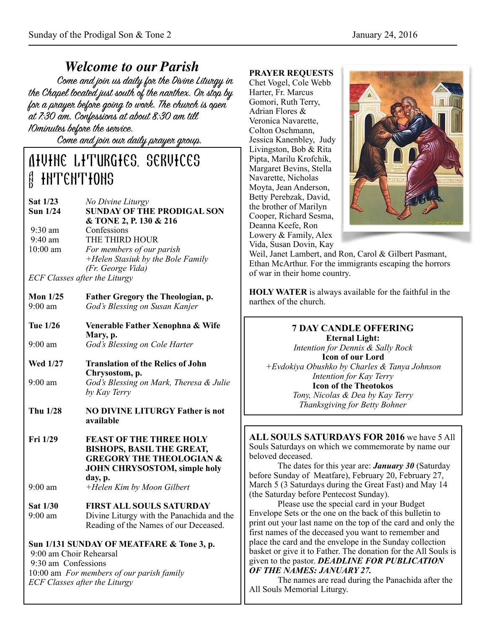*Welcome to our Parish* the Chapel located just south of the nanthex. On stop by for a prayer before going to work. The church is open at 7:30 am. Confessions at about 8:30 am till 10minutes before the service.

Come and join our daily prayer group.

# Divine Liturgies, services **A INTENTIONS**

| Sat 1/23   | No Divine Liturgy                     |
|------------|---------------------------------------|
| Sun $1/24$ | <b>SUNDAY OF THE PRODIGAL SON</b>     |
|            | & TONE 2, P. 130 & 216                |
| $9:30$ am  | Confessions                           |
| $9:40$ am  | THE THIRD HOUR                        |
| $10:00$ am | For members of our parish             |
|            | +Helen Stasiuk by the Bole Family     |
|            | (Fr. George Vida)                     |
|            | <i>ECE Classes after the Liturent</i> |

*ECF Classes after the Liturgy*

| Mon $1/25$        | <b>Father Gregory the Theologian, p.</b> |
|-------------------|------------------------------------------|
| $9:00 \text{ am}$ | God's Blessing on Susan Kanjer           |

- **Tue 1/26 Venerable Father Xenophna & Wife Mary, p.**  9:00 am *God's Blessing on Cole Harter*
- **Wed 1/27 Translation of the Relics of John Chrysostom, p.**  9:00 am *God's Blessing on Mark, Theresa & Julie by Kay Terry*
- **Thu 1/28 NO DIVINE LITURGY Father is not available**
- **Fri 1/29 FEAST OF THE THREE HOLY BISHOPS, BASIL THE GREAT, GREGORY THE THEOLOGIAN & JOHN CHRYSOSTOM, simple holy day, p.**
- 9:00 am *+Helen Kim by Moon Gilbert*
- **Sat 1/30 FIRST ALL SOULS SATURDAY**  9:00 am Divine Liturgy with the Panachida and the Reading of the Names of our Deceased.

# **Sun 1/131 SUNDAY OF MEATFARE & Tone 3, p.**  9:00 am Choir Rehearsal

 9:30 am Confessions 10:00 am *For members of our parish family ECF Classes after the Liturgy*

#### **PRAYER REQUESTS**

Chet Vogel, Cole Webb Harter, Fr. Marcus Gomori, Ruth Terry, Adrian Flores & Veronica Navarette, Colton Oschmann, Jessica Kanenbley, Judy Livingston, Bob & Rita Pipta, Marilu Krofchik, Margaret Bevins, Stella Navarette, Nicholas Moyta, Jean Anderson, Betty Perebzak, David, the brother of Marilyn Cooper, Richard Sesma, Deanna Keefe, Ron Lowery & Family, Alex Vida, Susan Dovin, Kay



Weil, Janet Lambert, and Ron, Carol & Gilbert Pasmant, Ethan McArthur. For the immigrants escaping the horrors of war in their home country.

**HOLY WATER** is always available for the faithful in the narthex of the church.

# **7 DAY CANDLE OFFERING**

**Eternal Light:**  *Intention for Dennis & Sally Rock*  **Icon of our Lord**  *+Evdokiya Obushko by Charles & Tanya Johnson Intention for Kay Terry*  **Icon of the Theotokos**  *Tony, Nicolas & Dea by Kay Terry Thanksgiving for Betty Bohner*

**ALL SOULS SATURDAYS FOR 2016** we have 5 All Souls Saturdays on which we commemorate by name our beloved deceased.

 The dates for this year are: *January 30* (Saturday before Sunday of Meatfare), February 20, February 27, March 5 (3 Saturdays during the Great Fast) and May 14 (the Saturday before Pentecost Sunday).

 Please use the special card in your Budget Envelope Sets or the one on the back of this bulletin to print out your last name on the top of the card and only the first names of the deceased you want to remember and place the card and the envelope in the Sunday collection basket or give it to Father. The donation for the All Souls is given to the pastor. *DEADLINE FOR PUBLICATION OF THE NAMES: JANUARY 27.*

 The names are read during the Panachida after the All Souls Memorial Liturgy.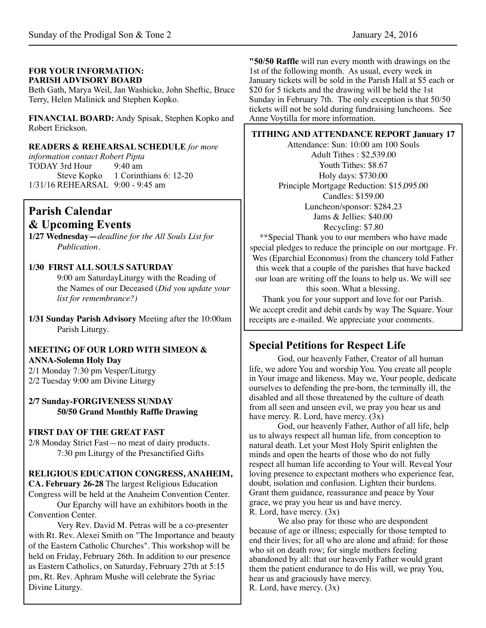#### **FOR YOUR INFORMATION: PARISH ADVISORY BOARD**

Beth Gath, Marya Weil, Jan Washicko, John Sheftic, Bruce Terry, Helen Malinick and Stephen Kopko.

**FINANCIAL BOARD:** Andy Spisak, Stephen Kopko and Robert Erickson.

#### **READERS & REHEARSAL SCHEDULE** *for more*

*information contact Robert Pipta* TODAY 3rd Hour 9:40 am Steve Kopko 1 Corinthians 6: 12-20 1/31/16 REHEARSAL 9:00 - 9:45 am

# **Parish Calendar & Upcoming Events**

**1/27 Wednesday—***deadline for the All Souls List for Publication.*

### **1/30 FIRST ALL SOULS SATURDAY**

9:00 am SaturdayLiturgy with the Reading of the Names of our Deceased (*Did you update your list for remembrance?)*

**1/31 Sunday Parish Advisory** Meeting after the 10:00am Parish Liturgy.

#### **MEETING OF OUR LORD WITH SIMEON & ANNA-Solemn Holy Day**

2/1 Monday 7:30 pm Vesper/Liturgy 2/2 Tuesday 9:00 am Divine Liturgy

#### **2/7 Sunday-FORGIVENESS SUNDAY 50/50 Grand Monthly Raffle Drawing**

### **FIRST DAY OF THE GREAT FAST**

2/8 Monday Strict Fast—no meat of dairy products. 7:30 pm Liturgy of the Presanctified Gifts

### **RELIGIOUS EDUCATION CONGRESS, ANAHEIM,**

**CA. February 26-28** The largest Religious Education Congress will be held at the Anaheim Convention Center.

Our Eparchy will have an exhibitors booth in the Convention Center.

Very Rev. David M. Petras will be a co-presenter with Rt. Rev. Alexei Smith on "The Importance and beauty of the Eastern Catholic Churches". This workshop will be held on Friday, February 26th. In addition to our presence as Eastern Catholics, on Saturday, February 27th at 5:15 pm, Rt. Rev. Aphram Mushe will celebrate the Syriac Divine Liturgy.

**"50/50 Raffle** will run every month with drawings on the 1st of the following month. As usual, every week in January tickets will be sold in the Parish Hall at \$5 each or \$20 for 5 tickets and the drawing will be held the 1st Sunday in February 7th. The only exception is that 50/50 tickets will not be sold during fundraising luncheons. See Anne Voytilla for more information.

**TITHING AND ATTENDANCE REPORT January 17** 

Attendance: Sun: 10:00 am 100 Souls Adult Tithes : \$2,539.00 Youth Tithes: \$8.67 Holy days: \$730.00 Principle Mortgage Reduction: \$15,095.00 Candles: \$159.00 Luncheon/sponsor: \$284.23 Jams & Jellies: \$40.00 Recycling: \$7.80

\*\*Special Thank you to our members who have made special pledges to reduce the principle on our mortgage. Fr. Wes (Eparchial Economus) from the chancery told Father this week that a couple of the parishes that have backed our loan are writing off the loans to help us. We will see this soon. What a blessing.

Thank you for your support and love for our Parish. We accept credit and debit cards by way The Square. Your receipts are e-mailed. We appreciate your comments.

# **Special Petitions for Respect Life**

God, our heavenly Father, Creator of all human life, we adore You and worship You. You create all people in Your image and likeness. May we, Your people, dedicate ourselves to defending the pre-born, the terminally ill, the disabled and all those threatened by the culture of death from all seen and unseen evil, we pray you hear us and have mercy. R. Lord, have mercy.  $(3x)$ 

 God, our heavenly Father, Author of all life, help us to always respect all human life, from conception to natural death. Let your Most Holy Spirit enlighten the minds and open the hearts of those who do not fully respect all human life according to Your will. Reveal Your loving presence to expectant mothers who experience fear, doubt, isolation and confusion. Lighten their burdens. Grant them guidance, reassurance and peace by Your grace, we pray you hear us and have mercy.  $\overline{R}$ . Lord, have mercy.  $(3x)$ 

 We also pray for those who are despondent because of age or illness; especially for those tempted to end their lives; for all who are alone and afraid: for those who sit on death row; for single mothers feeling abandoned by all: that our heavenly Father would grant them the patient endurance to do His will, we pray You, hear us and graciously have mercy. R. Lord, have mercy. (3x)